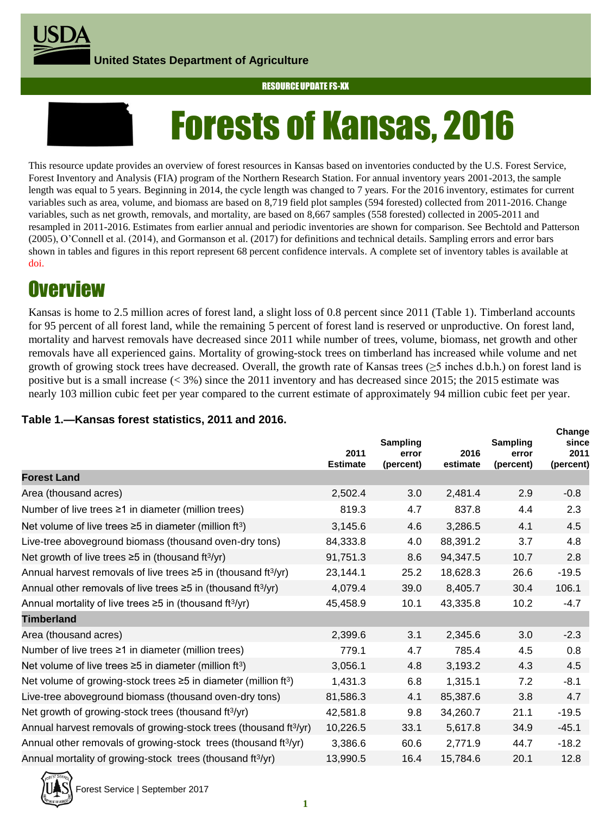**United States Department of Agriculture**





This resource update provides an overview of forest resources in Kansas based on inventories conducted by the U.S. Forest Service, Forest Inventory and Analysis (FIA) program of the Northern Research Station. For annual inventory years 2001-2013, the sample length was equal to 5 years. Beginning in 2014, the cycle length was changed to 7 years. For the 2016 inventory, estimates for current variables such as area, volume, and biomass are based on 8,719 field plot samples (594 forested) collected from 2011-2016. Change variables, such as net growth, removals, and mortality, are based on 8,667 samples (558 forested) collected in 2005-2011 and resampled in 2011-2016. Estimates from earlier annual and periodic inventories are shown for comparison. See Bechtold and Patterson (2005), O'Connell et al. (2014), and Gormanson et al. (2017) for definitions and technical details. Sampling errors and error bars shown in tables and figures in this report represent 68 percent confidence intervals. A complete set of inventory tables is available at doi.

# **Overview**

Kansas is home to 2.5 million acres of forest land, a slight loss of 0.8 percent since 2011 (Table 1). Timberland accounts for 95 percent of all forest land, while the remaining 5 percent of forest land is reserved or unproductive. On forest land, mortality and harvest removals have decreased since 2011 while number of trees, volume, biomass, net growth and other removals have all experienced gains. Mortality of growing-stock trees on timberland has increased while volume and net growth of growing stock trees have decreased. Overall, the growth rate of Kansas trees ( $\geq$ 5 inches d.b.h.) on forest land is positive but is a small increase (< 3%) since the 2011 inventory and has decreased since 2015; the 2015 estimate was nearly 103 million cubic feet per year compared to the current estimate of approximately 94 million cubic feet per year.

**Change**

### **Table 1.—Kansas forest statistics, 2011 and 2016.**

|                                                                                  | 2011<br><b>Estimate</b> | Sampling<br>error<br>(percent) | 2016<br>estimate | Sampling<br>error<br>(percent) | Unange<br>since<br>2011<br>(percent) |
|----------------------------------------------------------------------------------|-------------------------|--------------------------------|------------------|--------------------------------|--------------------------------------|
| <b>Forest Land</b>                                                               |                         |                                |                  |                                |                                      |
| Area (thousand acres)                                                            | 2,502.4                 | 3.0                            | 2,481.4          | 2.9                            | $-0.8$                               |
| Number of live trees ≥1 in diameter (million trees)                              | 819.3                   | 4.7                            | 837.8            | 4.4                            | 2.3                                  |
| Net volume of live trees $\geq$ 5 in diameter (million ft <sup>3</sup> )         | 3,145.6                 | 4.6                            | 3,286.5          | 4.1                            | 4.5                                  |
| Live-tree aboveground biomass (thousand oven-dry tons)                           | 84,333.8                | 4.0                            | 88,391.2         | 3.7                            | 4.8                                  |
| Net growth of live trees $\geq$ 5 in (thousand ft <sup>3</sup> /yr)              | 91,751.3                | 8.6                            | 94,347.5         | 10.7                           | 2.8                                  |
| Annual harvest removals of live trees $\geq$ 5 in (thousand ft <sup>3</sup> /yr) | 23,144.1                | 25.2                           | 18,628.3         | 26.6                           | $-19.5$                              |
| Annual other removals of live trees $\geq$ 5 in (thousand ft <sup>3</sup> /yr)   | 4,079.4                 | 39.0                           | 8,405.7          | 30.4                           | 106.1                                |
| Annual mortality of live trees $\geq$ 5 in (thousand ft <sup>3/</sup> yr)        | 45,458.9                | 10.1                           | 43,335.8         | 10.2                           | $-4.7$                               |
| <b>Timberland</b>                                                                |                         |                                |                  |                                |                                      |
| Area (thousand acres)                                                            | 2,399.6                 | 3.1                            | 2,345.6          | 3.0                            | $-2.3$                               |
| Number of live trees $\geq 1$ in diameter (million trees)                        | 779.1                   | 4.7                            | 785.4            | 4.5                            | 0.8                                  |
| Net volume of live trees $\geq$ 5 in diameter (million ft <sup>3</sup> )         | 3,056.1                 | 4.8                            | 3,193.2          | 4.3                            | 4.5                                  |
| Net volume of growing-stock trees ≥5 in diameter (million ft <sup>3</sup> )      | 1,431.3                 | 6.8                            | 1,315.1          | 7.2                            | $-8.1$                               |
| Live-tree aboveground biomass (thousand oven-dry tons)                           | 81,586.3                | 4.1                            | 85,387.6         | 3.8                            | 4.7                                  |
| Net growth of growing-stock trees (thousand ft <sup>3</sup> /yr)                 | 42,581.8                | 9.8                            | 34,260.7         | 21.1                           | $-19.5$                              |
| Annual harvest removals of growing-stock trees (thousand ft <sup>3/</sup> yr)    | 10,226.5                | 33.1                           | 5,617.8          | 34.9                           | $-45.1$                              |
| Annual other removals of growing-stock trees (thousand ft <sup>3/</sup> yr)      | 3,386.6                 | 60.6                           | 2,771.9          | 44.7                           | $-18.2$                              |
| Annual mortality of growing-stock trees (thousand ft <sup>3/</sup> yr)           | 13,990.5                | 16.4                           | 15,784.6         | 20.1                           | 12.8                                 |

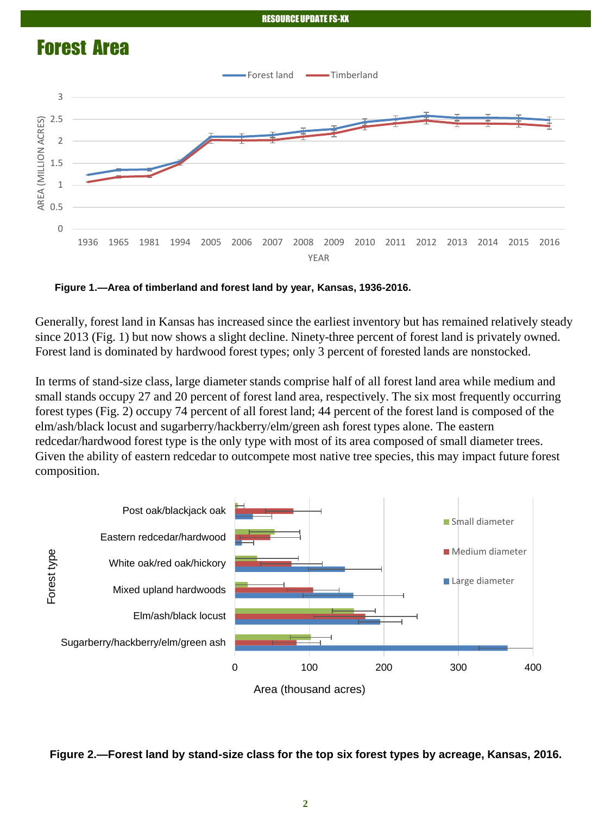

**Figure 1.—Area of timberland and forest land by year, Kansas, 1936-2016.**

Generally, forest land in Kansas has increased since the earliest inventory but has remained relatively steady since 2013 (Fig. 1) but now shows a slight decline. Ninety-three percent of forest land is privately owned. Forest land is dominated by hardwood forest types; only 3 percent of forested lands are nonstocked.

In terms of stand-size class, large diameter stands comprise half of all forest land area while medium and small stands occupy 27 and 20 percent of forest land area, respectively. The six most frequently occurring forest types (Fig. 2) occupy 74 percent of all forest land; 44 percent of the forest land is composed of the elm/ash/black locust and sugarberry/hackberry/elm/green ash forest types alone. The eastern redcedar/hardwood forest type is the only type with most of its area composed of small diameter trees. Given the ability of eastern redcedar to outcompete most native tree species, this may impact future forest composition.



**Figure 2.—Forest land by stand-size class for the top six forest types by acreage, Kansas, 2016.**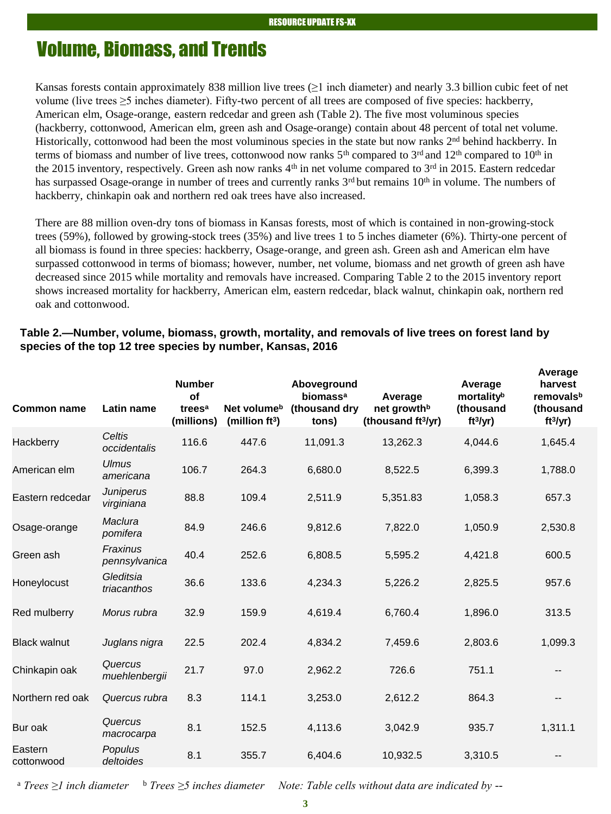## Volume, Biomass, and Trends

Kansas forests contain approximately 838 million live trees ( $\geq 1$  inch diameter) and nearly 3.3 billion cubic feet of net volume (live trees ≥5 inches diameter). Fifty-two percent of all trees are composed of five species: hackberry, American elm, Osage-orange, eastern redcedar and green ash (Table 2). The five most voluminous species (hackberry, cottonwood, American elm, green ash and Osage-orange) contain about 48 percent of total net volume. Historically, cottonwood had been the most voluminous species in the state but now ranks 2<sup>nd</sup> behind hackberry. In terms of biomass and number of live trees, cottonwood now ranks  $5<sup>th</sup>$  compared to  $3<sup>rd</sup>$  and  $12<sup>th</sup>$  compared to  $10<sup>th</sup>$  in the 2015 inventory, respectively. Green ash now ranks  $4<sup>th</sup>$  in net volume compared to  $3<sup>rd</sup>$  in 2015. Eastern redcedar has surpassed Osage-orange in number of trees and currently ranks 3<sup>rd</sup> but remains 10<sup>th</sup> in volume. The numbers of hackberry, chinkapin oak and northern red oak trees have also increased.

There are 88 million oven-dry tons of biomass in Kansas forests, most of which is contained in non-growing-stock trees (59%), followed by growing-stock trees (35%) and live trees 1 to 5 inches diameter (6%). Thirty-one percent of all biomass is found in three species: hackberry, Osage-orange, and green ash. Green ash and American elm have surpassed cottonwood in terms of biomass; however, number, net volume, biomass and net growth of green ash have decreased since 2015 while mortality and removals have increased. Comparing Table 2 to the 2015 inventory report shows increased mortality for hackberry, American elm, eastern redcedar, black walnut, chinkapin oak, northern red oak and cottonwood.

| <b>Common name</b>    | Latin name                     | <b>Number</b><br>of<br>trees <sup>a</sup><br>(millions) | Net volume <sup>b</sup><br>(million $ft^3$ ) | Aboveground<br>biomass <sup>a</sup><br>(thousand dry<br>tons) | Average<br>net growth <sup>b</sup><br>(thousand ft <sup>3</sup> /yr) | Average<br>mortalityb<br>(thousand<br>ft <sup>3</sup> /yr) | Average<br>harvest<br>removalsb<br>(thousand<br>ft <sup>3</sup> /yr) |
|-----------------------|--------------------------------|---------------------------------------------------------|----------------------------------------------|---------------------------------------------------------------|----------------------------------------------------------------------|------------------------------------------------------------|----------------------------------------------------------------------|
| Hackberry             | Celtis<br>occidentalis         | 116.6                                                   | 447.6                                        | 11,091.3                                                      | 13,262.3                                                             | 4,044.6                                                    | 1,645.4                                                              |
| American elm          | <b>Ulmus</b><br>americana      | 106.7                                                   | 264.3                                        | 6,680.0                                                       | 8,522.5                                                              | 6,399.3                                                    | 1,788.0                                                              |
| Eastern redcedar      | <b>Juniperus</b><br>virginiana | 88.8                                                    | 109.4                                        | 2,511.9                                                       | 5,351.83                                                             | 1,058.3                                                    | 657.3                                                                |
| Osage-orange          | Maclura<br>pomifera            | 84.9                                                    | 246.6                                        | 9,812.6                                                       | 7,822.0                                                              | 1,050.9                                                    | 2,530.8                                                              |
| Green ash             | Fraxinus<br>pennsylvanica      | 40.4                                                    | 252.6                                        | 6,808.5                                                       | 5,595.2                                                              | 4,421.8                                                    | 600.5                                                                |
| Honeylocust           | Gleditsia<br>triacanthos       | 36.6                                                    | 133.6                                        | 4,234.3                                                       | 5,226.2                                                              | 2,825.5                                                    | 957.6                                                                |
| Red mulberry          | Morus rubra                    | 32.9                                                    | 159.9                                        | 4,619.4                                                       | 6,760.4                                                              | 1,896.0                                                    | 313.5                                                                |
| <b>Black walnut</b>   | Juglans nigra                  | 22.5                                                    | 202.4                                        | 4,834.2                                                       | 7,459.6                                                              | 2,803.6                                                    | 1,099.3                                                              |
| Chinkapin oak         | Quercus<br>muehlenbergii       | 21.7                                                    | 97.0                                         | 2,962.2                                                       | 726.6                                                                | 751.1                                                      | --                                                                   |
| Northern red oak      | Quercus rubra                  | 8.3                                                     | 114.1                                        | 3,253.0                                                       | 2,612.2                                                              | 864.3                                                      | --                                                                   |
| Bur oak               | Quercus<br>macrocarpa          | 8.1                                                     | 152.5                                        | 4,113.6                                                       | 3,042.9                                                              | 935.7                                                      | 1,311.1                                                              |
| Eastern<br>cottonwood | <b>Populus</b><br>deltoides    | 8.1                                                     | 355.7                                        | 6,404.6                                                       | 10,932.5                                                             | 3,310.5                                                    |                                                                      |

### **Table 2.—Number, volume, biomass, growth, mortality, and removals of live trees on forest land by species of the top 12 tree species by number, Kansas, 2016**

<sup>a</sup> *Trees ≥1 inch diameter* <sup>b</sup> *Trees ≥5 inches diameter Note: Table cells without data are indicated by --*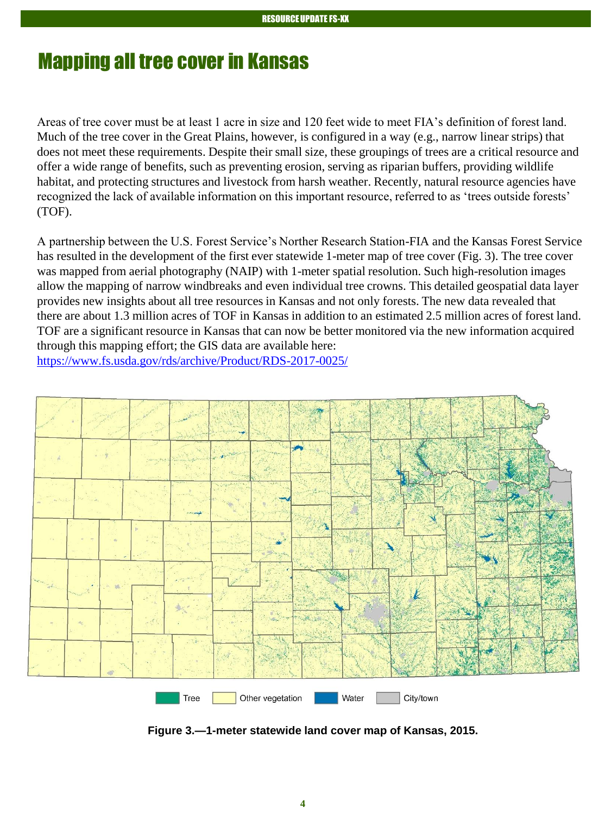# Mapping all tree cover in Kansas

Areas of tree cover must be at least 1 acre in size and 120 feet wide to meet FIA's definition of forest land. Much of the tree cover in the Great Plains, however, is configured in a way (e.g., narrow linear strips) that does not meet these requirements. Despite their small size, these groupings of trees are a critical resource and offer a wide range of benefits, such as preventing erosion, serving as riparian buffers, providing wildlife habitat, and protecting structures and livestock from harsh weather. Recently, natural resource agencies have recognized the lack of available information on this important resource, referred to as 'trees outside forests' (TOF).

A partnership between the U.S. Forest Service's Norther Research Station-FIA and the Kansas Forest Service has resulted in the development of the first ever statewide 1-meter map of tree cover (Fig. 3). The tree cover was mapped from aerial photography (NAIP) with 1-meter spatial resolution. Such high-resolution images allow the mapping of narrow windbreaks and even individual tree crowns. This detailed geospatial data layer provides new insights about all tree resources in Kansas and not only forests. The new data revealed that there are about 1.3 million acres of TOF in Kansas in addition to an estimated 2.5 million acres of forest land. TOF are a significant resource in Kansas that can now be better monitored via the new information acquired through this mapping effort; the GIS data are available here: <https://www.fs.usda.gov/rds/archive/Product/RDS-2017-0025/>

Tree Other vegetation Water City/town

**Figure 3.—1-meter statewide land cover map of Kansas, 2015.**